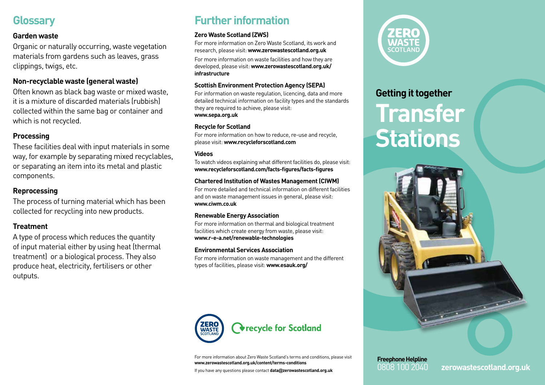## **Glossary**

#### **Garden waste**

Organic or naturally occurring, waste vegetation materials from gardens such as leaves, grass clippings, twigs, etc.

#### **Non-recyclable waste (general waste)**

Often known as black bag waste or mixed waste, it is a mixture of discarded materials (rubbish) collected within the same bag or container and which is not recycled.

#### **Processing**

These facilities deal with input materials in some way, for example by separating mixed recyclables, or separating an item into its metal and plastic components.

#### **Reprocessing**

The process of turning material which has been collected for recycling into new products.

#### **Treatment**

A type of process which reduces the quantity of input material either by using heat (thermal treatment) or a biological process. They also produce heat, electricity, fertilisers or other outputs.

## **Further information**

#### **Zero Waste Scotland (ZWS)**

For more information on Zero Waste Scotland, its work and research, please visit: **www.zerowastescotland.org.uk**

For more information on waste facilities and how they are developed, please visit: **www.zerowastescotland.org.uk/ infrastructure**

#### **Scottish Environment Protection Agency (SEPA)**

For information on waste regulation, licencing, data and more detailed technical information on facility types and the standards they are required to achieve, please visit: **www.sepa.org.uk**

#### **Recycle for Scotland**

For more information on how to reduce, re-use and recycle, please visit: **www.recycleforscotland.com**

#### **Videos**

To watch videos explaining what different facilities do, please visit: **www.recycleforscotland.com/facts-figures/facts-figures**

#### **Chartered Institution of Wastes Management (CIWM)**

For more detailed and technical information on different facilities and on waste management issues in general, please visit: **www.ciwm.co.uk**

#### **Renewable Energy Association**

For more information on thermal and biological treatment facilities which create energy from waste, please visit: **www.r-e-a.net/renewable-technologies**

#### **Environmental Services Association**

For more information on waste management and the different types of facilities, please visit: **www.esauk.org/**



For more information about Zero Waste Scotland's terms and conditions, please visit **www.zerowastescotland.org.uk/content/terms-conditions**

If you have any questions please contact **data@zerowastescotland.org.uk**



### **Getting it together**

# **Transfer Stations**



**Freephone Helpline**

0808 100 2040 **zerowastescotland.org.uk**